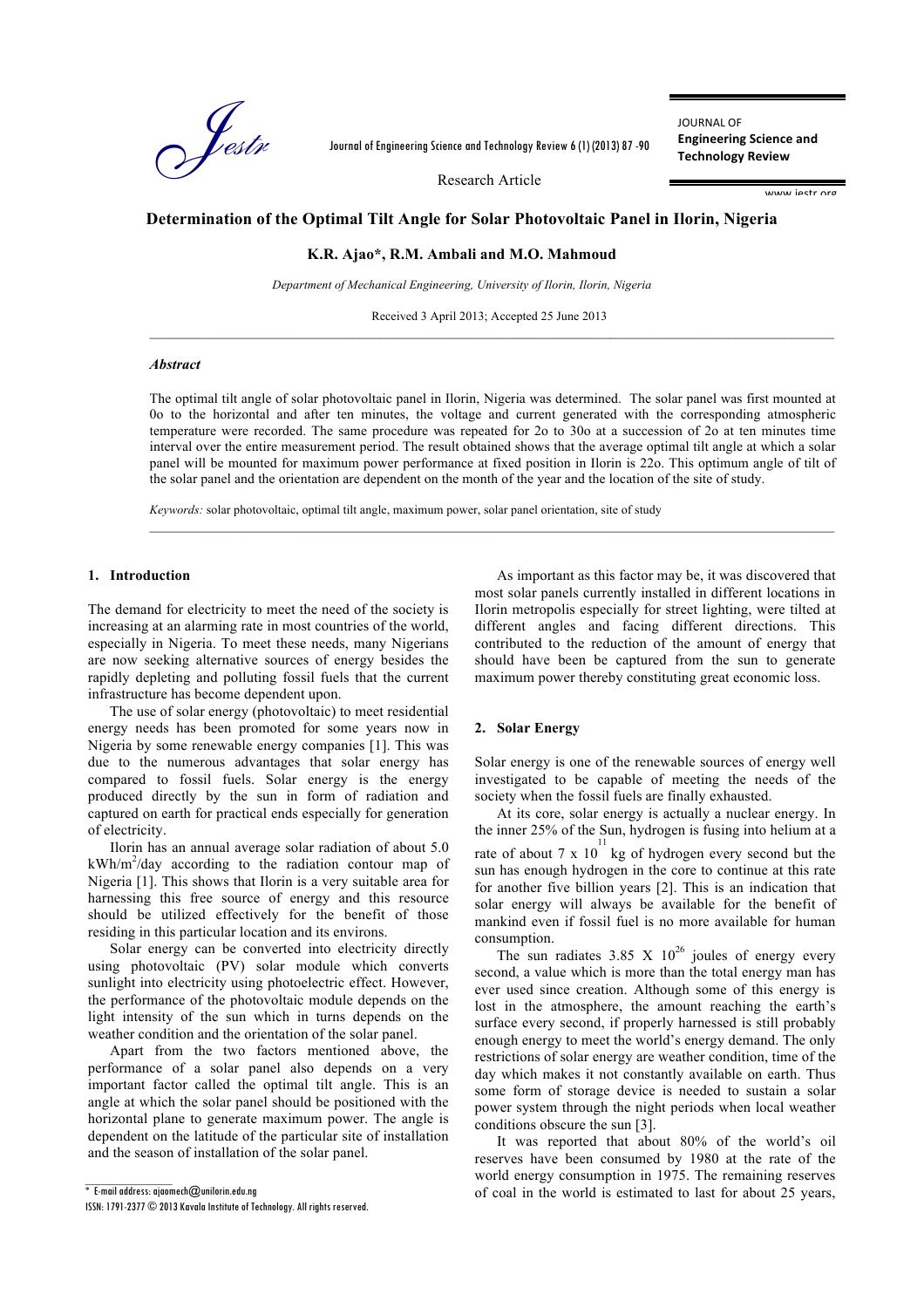

Journal of Engineering Science and Technology Review 6 (1) (2013) 87 -90

JOURNAL OF **Engineering Science and Technology Review**

Research Article

www.jestr.org

# **Determination of the Optimal Tilt Angle for Solar Photovoltaic Panel in Ilorin, Nigeria**

**K.R. Ajao\*, R.M. Ambali and M.O. Mahmoud** 

*Department of Mechanical Engineering, University of Ilorin, Ilorin, Nigeria*

Received 3 April 2013; Accepted 25 June 2013

# *Abstract*

The optimal tilt angle of solar photovoltaic panel in Ilorin, Nigeria was determined. The solar panel was first mounted at 0o to the horizontal and after ten minutes, the voltage and current generated with the corresponding atmospheric temperature were recorded. The same procedure was repeated for 2o to 30o at a succession of 2o at ten minutes time interval over the entire measurement period. The result obtained shows that the average optimal tilt angle at which a solar panel will be mounted for maximum power performance at fixed position in Ilorin is 22o. This optimum angle of tilt of the solar panel and the orientation are dependent on the month of the year and the location of the site of study.

*Keywords:* solar photovoltaic, optimal tilt angle, maximum power, solar panel orientation, site of study

## **1. Introduction**

The demand for electricity to meet the need of the society is increasing at an alarming rate in most countries of the world, especially in Nigeria. To meet these needs, many Nigerians are now seeking alternative sources of energy besides the rapidly depleting and polluting fossil fuels that the current infrastructure has become dependent upon.

The use of solar energy (photovoltaic) to meet residential energy needs has been promoted for some years now in Nigeria by some renewable energy companies [1]. This was due to the numerous advantages that solar energy has compared to fossil fuels. Solar energy is the energy produced directly by the sun in form of radiation and captured on earth for practical ends especially for generation of electricity.

Ilorin has an annual average solar radiation of about 5.0  $kWh/m^2$ /day according to the radiation contour map of Nigeria [1]. This shows that Ilorin is a very suitable area for harnessing this free source of energy and this resource should be utilized effectively for the benefit of those residing in this particular location and its environs.

Solar energy can be converted into electricity directly using photovoltaic (PV) solar module which converts sunlight into electricity using photoelectric effect. However, the performance of the photovoltaic module depends on the light intensity of the sun which in turns depends on the weather condition and the orientation of the solar panel.

Apart from the two factors mentioned above, the performance of a solar panel also depends on a very important factor called the optimal tilt angle. This is an angle at which the solar panel should be positioned with the horizontal plane to generate maximum power. The angle is dependent on the latitude of the particular site of installation and the season of installation of the solar panel.

 $\mathcal{L}=\mathcal{L}^{\mathcal{L}}$ 

As important as this factor may be, it was discovered that most solar panels currently installed in different locations in Ilorin metropolis especially for street lighting, were tilted at different angles and facing different directions. This contributed to the reduction of the amount of energy that should have been be captured from the sun to generate maximum power thereby constituting great economic loss.

## **2. Solar Energy**

Solar energy is one of the renewable sources of energy well investigated to be capable of meeting the needs of the society when the fossil fuels are finally exhausted.

At its core, solar energy is actually a nuclear energy. In the inner 25% of the Sun, hydrogen is fusing into helium at a

rate of about 7 x  $10^{11}$  kg of hydrogen every second but the sun has enough hydrogen in the core to continue at this rate for another five billion years [2]. This is an indication that solar energy will always be available for the benefit of mankind even if fossil fuel is no more available for human consumption.

The sun radiates  $3.85 \times 10^{26}$  joules of energy every second, a value which is more than the total energy man has ever used since creation. Although some of this energy is lost in the atmosphere, the amount reaching the earth's surface every second, if properly harnessed is still probably enough energy to meet the world's energy demand. The only restrictions of solar energy are weather condition, time of the day which makes it not constantly available on earth. Thus some form of storage device is needed to sustain a solar power system through the night periods when local weather conditions obscure the sun [3].

It was reported that about 80% of the world's oil reserves have been consumed by 1980 at the rate of the world energy consumption in 1975. The remaining reserves of coal in the world is estimated to last for about 25 years,

 $^*$  E-mail address: ajaomech $\varpi$ unilorin.edu.ng

ISSN: 1791-2377 © 2013 Kavala Institute of Technology. All rights reserved.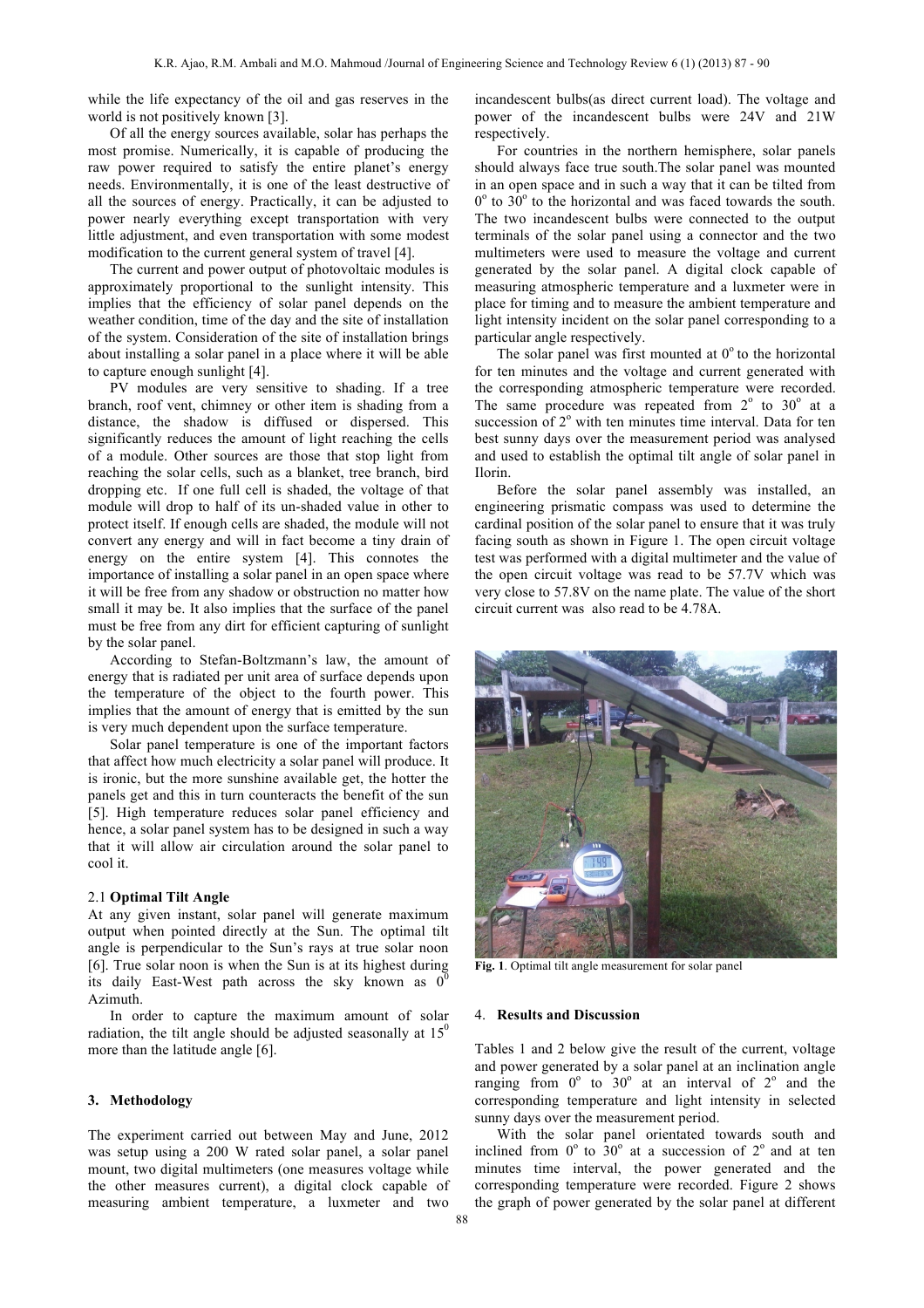while the life expectancy of the oil and gas reserves in the world is not positively known [3].

Of all the energy sources available, solar has perhaps the most promise. Numerically, it is capable of producing the raw power required to satisfy the entire planet's energy needs. Environmentally, it is one of the least destructive of all the sources of energy. Practically, it can be adjusted to power nearly everything except transportation with very little adjustment, and even transportation with some modest modification to the current general system of travel [4].

The current and power output of photovoltaic modules is approximately proportional to the sunlight intensity. This implies that the efficiency of solar panel depends on the weather condition, time of the day and the site of installation of the system. Consideration of the site of installation brings about installing a solar panel in a place where it will be able to capture enough sunlight [4].

PV modules are very sensitive to shading. If a tree branch, roof vent, chimney or other item is shading from a distance, the shadow is diffused or dispersed. This significantly reduces the amount of light reaching the cells of a module. Other sources are those that stop light from reaching the solar cells, such as a blanket, tree branch, bird dropping etc. If one full cell is shaded, the voltage of that module will drop to half of its un-shaded value in other to protect itself. If enough cells are shaded, the module will not convert any energy and will in fact become a tiny drain of energy on the entire system [4]. This connotes the importance of installing a solar panel in an open space where it will be free from any shadow or obstruction no matter how small it may be. It also implies that the surface of the panel must be free from any dirt for efficient capturing of sunlight by the solar panel.

According to Stefan-Boltzmann's law, the amount of energy that is radiated per unit area of surface depends upon the temperature of the object to the fourth power. This implies that the amount of energy that is emitted by the sun is very much dependent upon the surface temperature.

Solar panel temperature is one of the important factors that affect how much electricity a solar panel will produce. It is ironic, but the more sunshine available get, the hotter the panels get and this in turn counteracts the benefit of the sun [5]. High temperature reduces solar panel efficiency and hence, a solar panel system has to be designed in such a way that it will allow air circulation around the solar panel to cool it.

### 2.1 **Optimal Tilt Angle**

At any given instant, solar panel will generate maximum output when pointed directly at the Sun. The optimal tilt angle is perpendicular to the Sun's rays at true solar noon [6]. True solar noon is when the Sun is at its highest during its daily East-West path across the sky known as  $0^6$ Azimuth.

In order to capture the maximum amount of solar radiation, the tilt angle should be adjusted seasonally at  $15<sup>0</sup>$ more than the latitude angle [6].

#### **3. Methodology**

The experiment carried out between May and June, 2012 was setup using a 200 W rated solar panel, a solar panel mount, two digital multimeters (one measures voltage while the other measures current), a digital clock capable of measuring ambient temperature, a luxmeter and two incandescent bulbs(as direct current load). The voltage and power of the incandescent bulbs were 24V and 21W respectively.

For countries in the northern hemisphere, solar panels should always face true south.The solar panel was mounted in an open space and in such a way that it can be tilted from  $0^{\circ}$  to 30<sup>°</sup> to the horizontal and was faced towards the south. The two incandescent bulbs were connected to the output terminals of the solar panel using a connector and the two multimeters were used to measure the voltage and current generated by the solar panel. A digital clock capable of measuring atmospheric temperature and a luxmeter were in place for timing and to measure the ambient temperature and light intensity incident on the solar panel corresponding to a particular angle respectively.

The solar panel was first mounted at  $0^{\circ}$  to the horizontal for ten minutes and the voltage and current generated with the corresponding atmospheric temperature were recorded. The same procedure was repeated from  $2^{\circ}$  to  $30^{\circ}$  at a succession of  $2<sup>o</sup>$  with ten minutes time interval. Data for ten best sunny days over the measurement period was analysed and used to establish the optimal tilt angle of solar panel in Ilorin.

Before the solar panel assembly was installed, an engineering prismatic compass was used to determine the cardinal position of the solar panel to ensure that it was truly facing south as shown in Figure 1. The open circuit voltage test was performed with a digital multimeter and the value of the open circuit voltage was read to be 57.7V which was very close to 57.8V on the name plate. The value of the short circuit current was also read to be 4.78A.



**Fig. 1**. Optimal tilt angle measurement for solar panel

#### 4. **Results and Discussion**

Tables 1 and 2 below give the result of the current, voltage and power generated by a solar panel at an inclination angle ranging from  $0^{\circ}$  to  $30^{\circ}$  at an interval of  $2^{\circ}$  and the corresponding temperature and light intensity in selected sunny days over the measurement period.

With the solar panel orientated towards south and inclined from  $0^{\circ}$  to  $30^{\circ}$  at a succession of  $2^{\circ}$  and at ten minutes time interval, the power generated and the corresponding temperature were recorded. Figure 2 shows the graph of power generated by the solar panel at different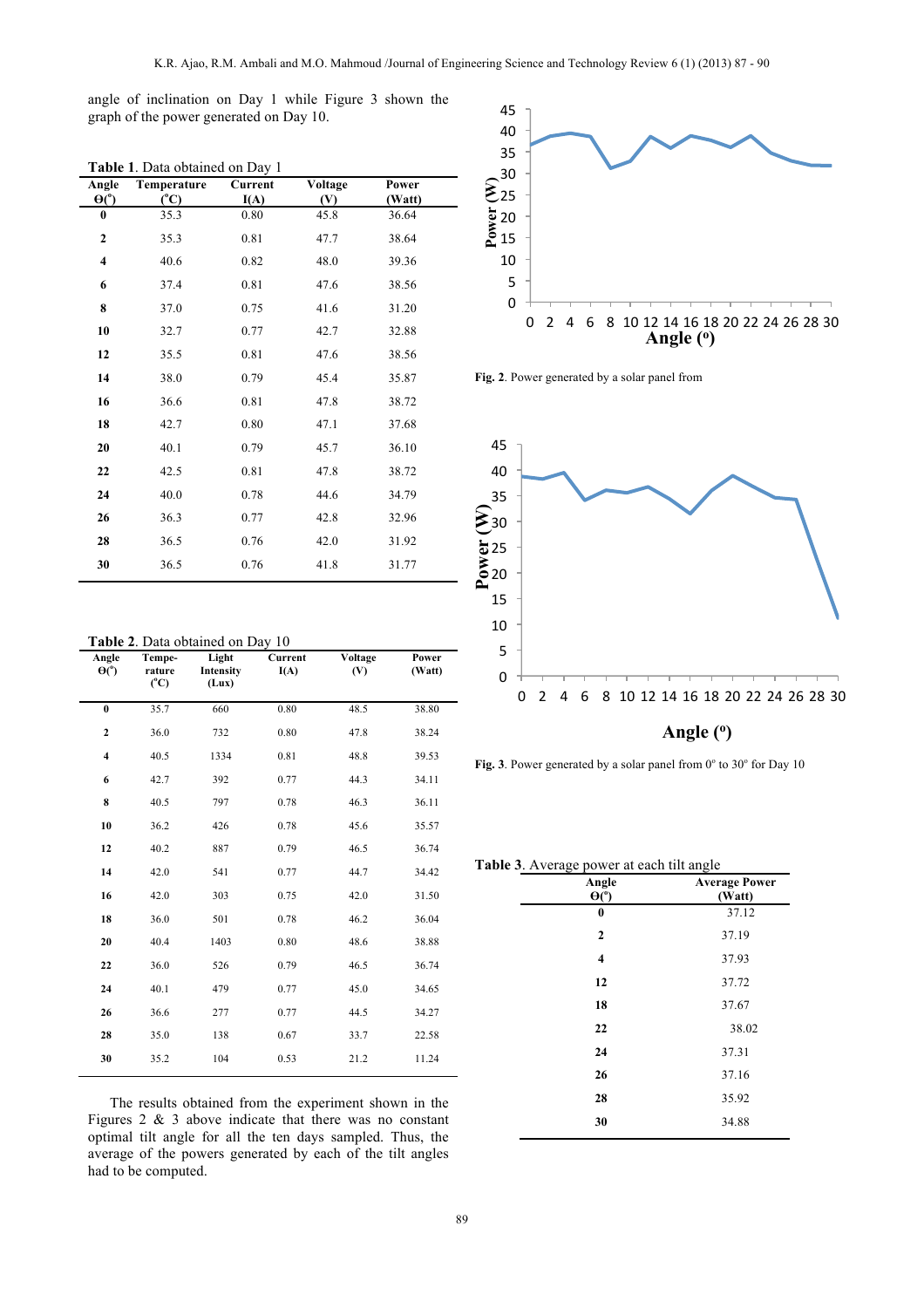angle of inclination on Day 1 while Figure 3 shown the graph of the power generated on Day 10.

| Angle                   | Temperature   | Current | Voltage | Power  |
|-------------------------|---------------|---------|---------|--------|
| $\Theta$ <sup>o</sup> ) | $(^{\circ}C)$ | I(A)    | (V)     | (Watt) |
| $\bf{0}$                | 35.3          | 0.80    | 45.8    | 36.64  |
| $\mathbf{2}$            | 35.3          | 0.81    | 47.7    | 38.64  |
| $\overline{\mathbf{4}}$ | 40.6          | 0.82    | 48.0    | 39.36  |
| 6                       | 37.4          | 0.81    | 47.6    | 38.56  |
| 8                       | 37.0          | 0.75    | 41.6    | 31.20  |
| 10                      | 32.7          | 0.77    | 42.7    | 32.88  |
| 12                      | 35.5          | 0.81    | 47.6    | 38.56  |
| 14                      | 38.0          | 0.79    | 45.4    | 35.87  |
| 16                      | 36.6          | 0.81    | 47.8    | 38.72  |
| 18                      | 42.7          | 0.80    | 47.1    | 37.68  |
| 20                      | 40.1          | 0.79    | 45.7    | 36.10  |
| 22                      | 42.5          | 0.81    | 47.8    | 38.72  |
| 24                      | 40.0          | 0.78    | 44.6    | 34.79  |
| 26                      | 36.3          | 0.77    | 42.8    | 32.96  |
| 28                      | 36.5          | 0.76    | 42.0    | 31.92  |
| 30                      | 36.5          | 0.76    | 41.8    | 31.77  |

**Table 1**. Data obtained on Day 1

|  |  | Table 2. Data obtained on Day 10 |  |  |  |
|--|--|----------------------------------|--|--|--|
|--|--|----------------------------------|--|--|--|

| Angle<br>$\Theta$ <sup>o</sup> | Tempe-<br>rature<br>$(^{\circ}C)$ | Light<br>Intensity<br>(Lux) | Current<br>I(A) | Voltage<br>(V) | Power<br>(Watt) |
|--------------------------------|-----------------------------------|-----------------------------|-----------------|----------------|-----------------|
| $\bf{0}$                       | 35.7                              | 660                         | 0.80            | 48.5           | 38.80           |
| $\mathbf{2}$                   | 36.0                              | 732                         | 0.80            | 47.8           | 38.24           |
| $\overline{\mathbf{4}}$        | 40.5                              | 1334                        | 0.81            | 48.8           | 39.53           |
| 6                              | 42.7                              | 392                         | 0.77            | 44.3           | 34.11           |
| 8                              | 40.5                              | 797                         | 0.78            | 46.3           | 36.11           |
| 10                             | 36.2                              | 426                         | 0.78            | 45.6           | 35.57           |
| 12                             | 40.2                              | 887                         | 0.79            | 46.5           | 36.74           |
| 14                             | 42.0                              | 541                         | 0.77            | 44.7           | 34.42           |
| 16                             | 42.0                              | 303                         | 0.75            | 42.0           | 31.50           |
| 18                             | 36.0                              | 501                         | 0.78            | 46.2           | 36.04           |
| 20                             | 40.4                              | 1403                        | 0.80            | 48.6           | 38.88           |
| 22                             | 36.0                              | 526                         | 0.79            | 46.5           | 36.74           |
| 24                             | 40.1                              | 479                         | 0.77            | 45.0           | 34.65           |
| 26                             | 36.6                              | 277                         | 0.77            | 44.5           | 34.27           |
| 28                             | 35.0                              | 138                         | 0.67            | 33.7           | 22.58           |
| 30                             | 35.2                              | 104                         | 0.53            | 21.2           | 11.24           |
|                                |                                   |                             |                 |                |                 |

The results obtained from the experiment shown in the Figures 2  $\&$  3 above indicate that there was no constant optimal tilt angle for all the ten days sampled. Thus, the average of the powers generated by each of the tilt angles had to be computed.



**Fig. 2**. Power generated by a solar panel from



Fig. 3. Power generated by a solar panel from 0° to 30° for Day 10

**Table 3**. Average power at each tilt angle

| <b>Average Power</b><br>(Watt) |
|--------------------------------|
| 37.12                          |
| 37.19                          |
| 37.93                          |
| 37.72                          |
| 37.67                          |
| 38.02                          |
| 37.31                          |
| 37.16                          |
| 35.92                          |
| 34.88                          |
|                                |